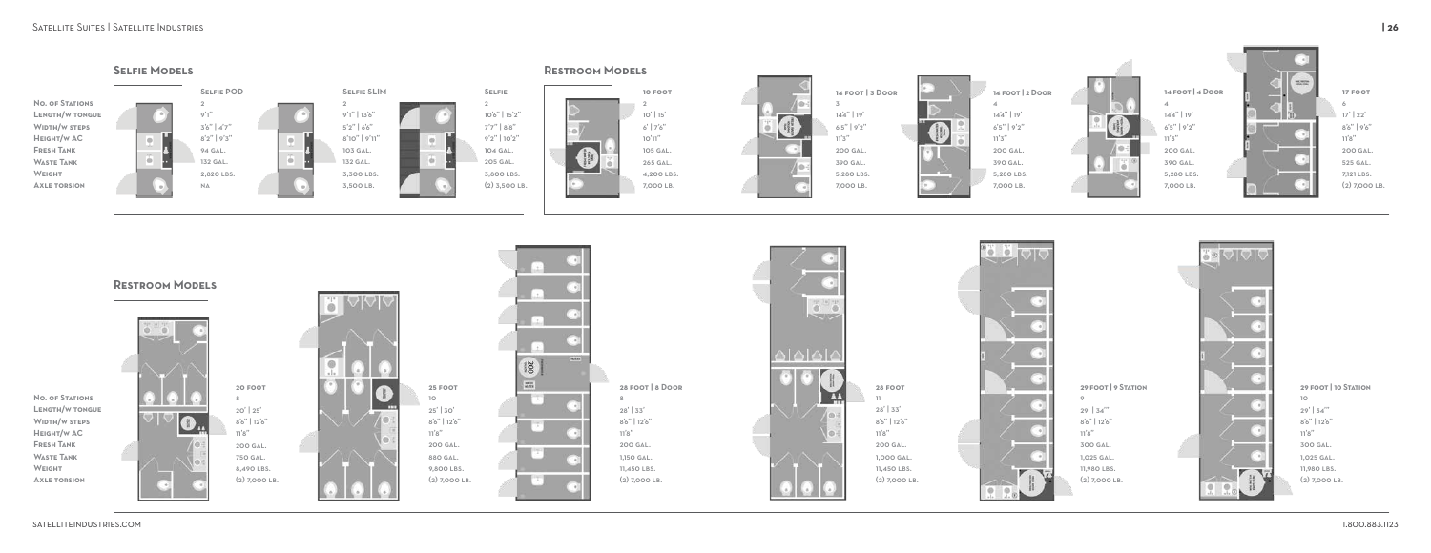

4







**Weight**

## Satellite Suites | Satellite Industries